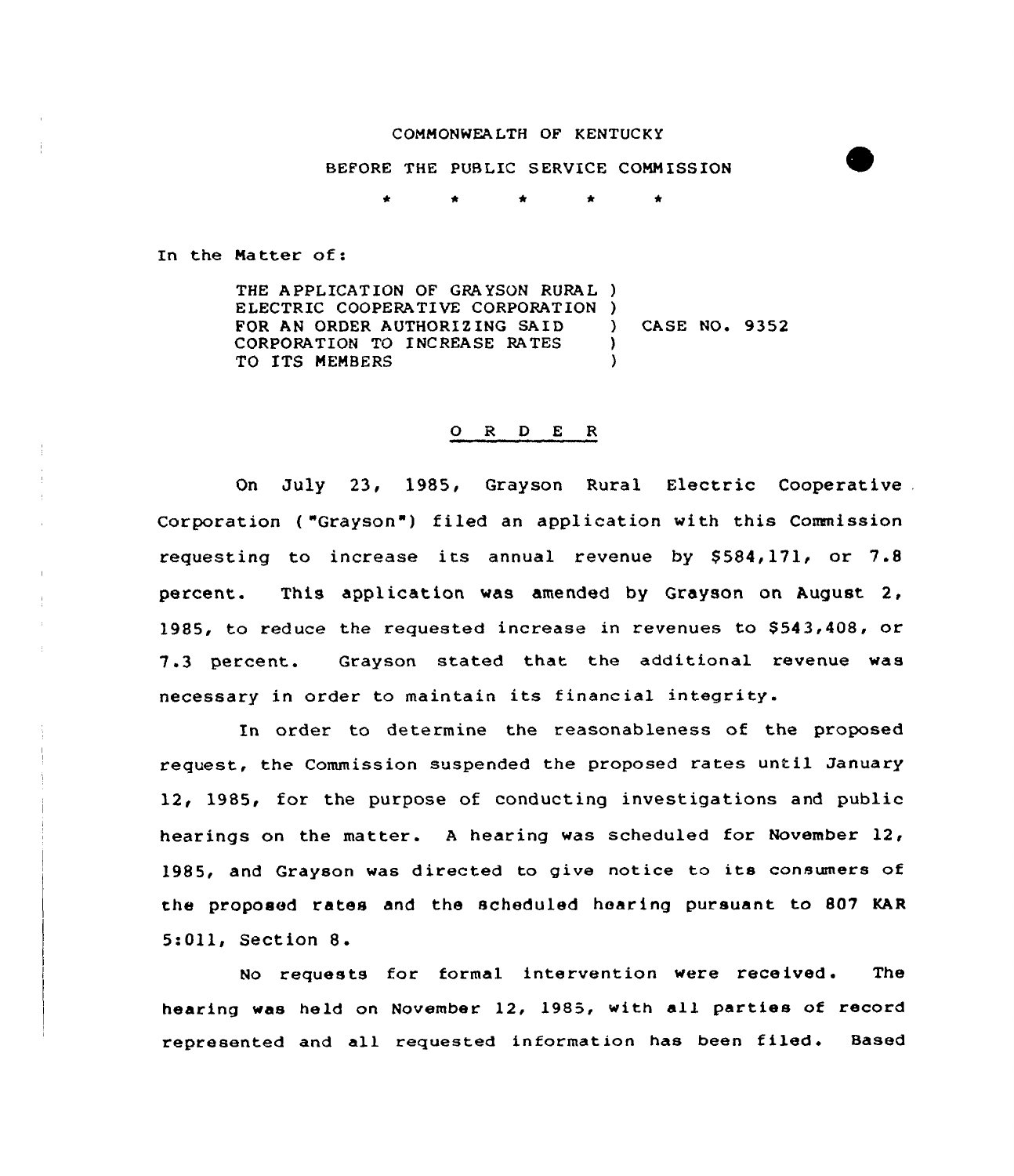#### COMMONWEALTH OF KENTUCKY

BEFORE THE PUBLIC SERVICE COMMISSION

\* \*  $\bullet$  $\bullet$ 

In the Matter of:

THE APPLICATION OF GRAYSON RURAL } ELECTRIC COOPERATIVE CORPORATION )<br>FOR AN ORDER AUTHORIZING SAID FOR AN ORDER AUTHORIZING SAID (ASE NO. 9352)<br>CORPORATION TO INCREASE RATES CORPORATION TO INCREASE RATES TO ITS MEMBERS

### O R D E R

On July 23, 1985, Grayson Rural Electric Cooperative . Corporation ("Grayson") filed an application with this Commission requesting to increase its annual revenue by  $$584,171$ , or  $7.8$ percent. This application was amended by Grayson on, August 2, 1985, to reduce the requested increase in revenues to \$543,408, or 7.3 percent. Grayson stated that the additional revenue was necessary in order to maintain its financial integrity.

In order to determine the reasonableness of the proposed request, the Commission suspended the proposed rates until January 12, 1985, for the purpose of conducting investigations and public hearings on the matter. <sup>A</sup> hearing was scheduled for November 12, 1985, and Grayson was directed to give notice to its consumers of the proposed rates and the scheduled hear ing pursuant to 807 KAR 5:Oll, Section 8.

No requests for formal intervention were received. The hearing was held on November 12, 1985, with all parties of record represented and all requested information has been filed. Based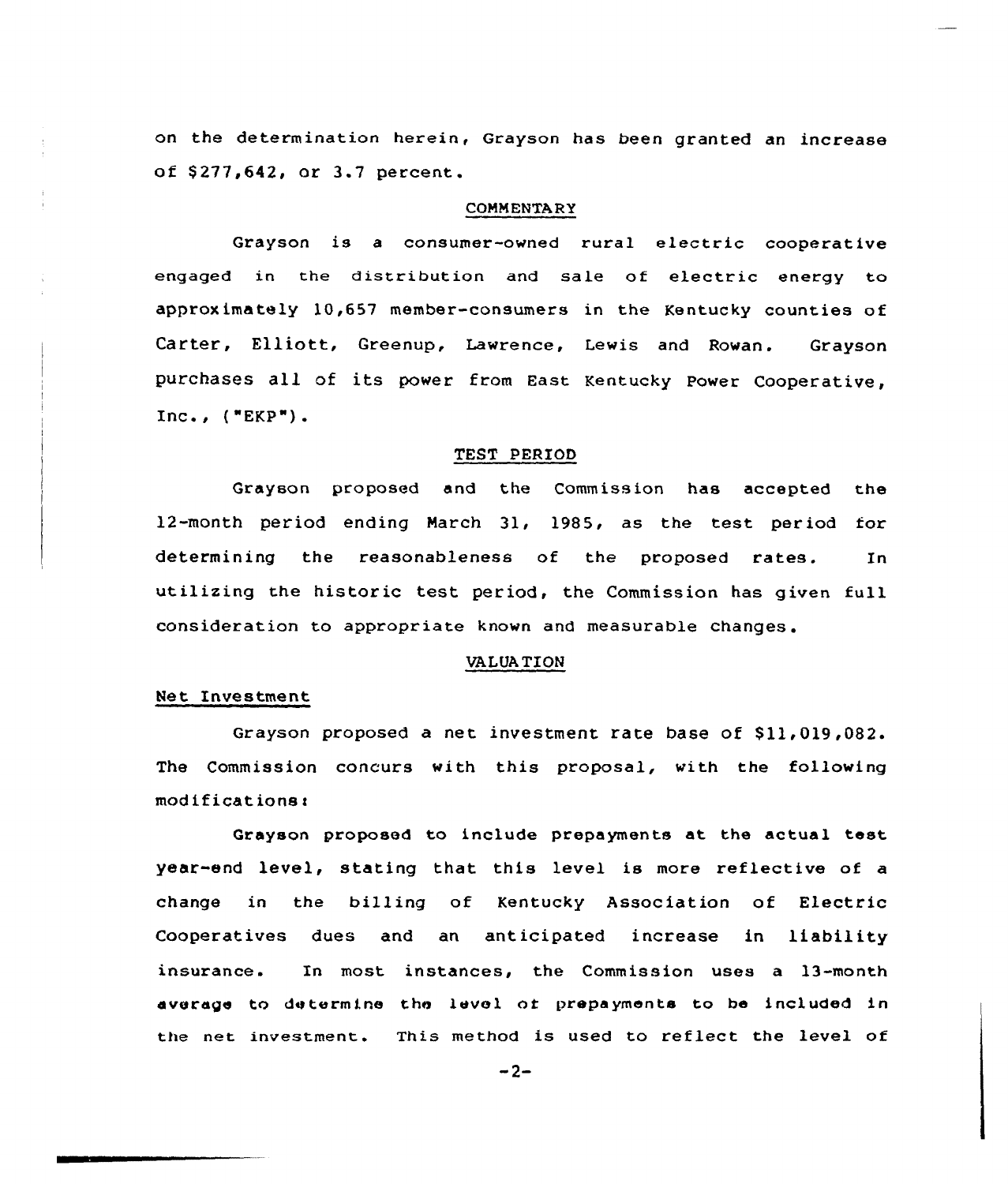on the determination herein, Grayson has been granted an increase of \$277,642, or 3.7 percent.

#### COMMENTARY

Grayson is a consumer-owned rural electric cooperative engaged in the distribution and sale of electric energy to approximately 10,657 member-consumers in the Kentucky counties of Carter, Elliott, Greenup, Lawrence, Lewis and Rowan. Grayson purchases all of its power from East Kentucky Power Cooperative, Inc., ("EKP").

#### TEST PERIOD

Grayson proposed and the Commission has accepted the 12-month period ending March 31, 1985, as the test period for determining the reasonableness of the proposed rates. In utilizing the historic test period, the Commission has given full consideration to appropriate known and measurable changes.

# VALUA TION

# Net Investment

Grayson proposed a net investment rate base of \$11,019,082. The Commission concurs with this proposal, with the following  $modifications.$ 

Grayson proposed to include prepayments at the actual test year end level, stating that this level is more reflective of a change in the billing of Kentucky Association of Electric Cooperatives dues and an anticipated increase in liability insurance. In most instances, the Commission uses a 13-month average to determine the level of prepayments to be included in the net investment. This method is used to reflect the level of

 $-2-$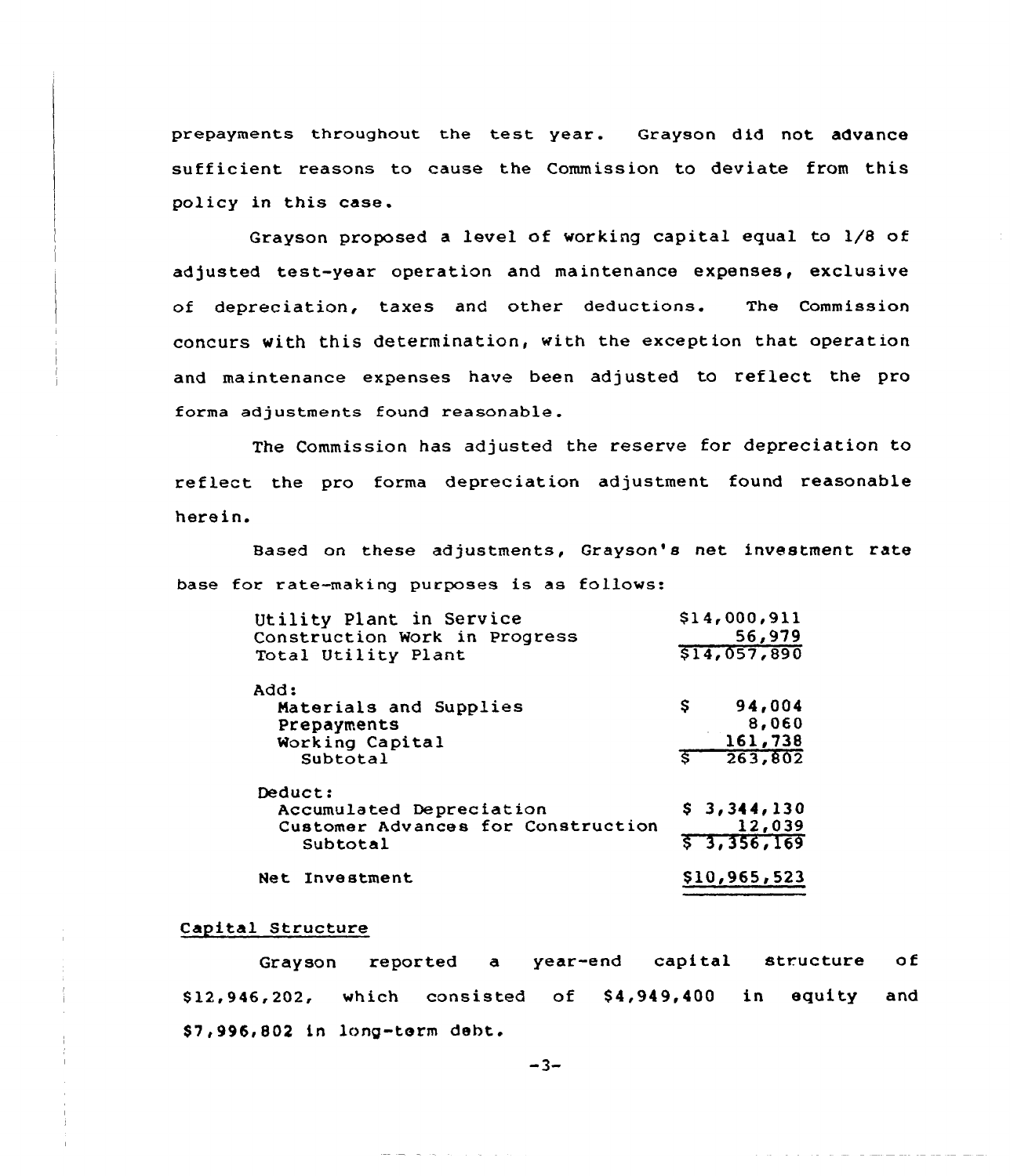prepayments throughout the test year. Grayson did not advance sufficient reasons to cause the Commission to deviate from this policy in this case.

Grayson proposed a level of working capital equal to 1/8 of adjusted test-year operation and maintenance expenses, exclusive of depreciation, taxes and other deductions. The Commission concurs with this determination, with the exception that operation and maintenance expenses have been adjusted to reflect the pro forma adjustments found reasonable.

The Commission has adjusted the reserve for depreciation to reflect the pro forma depreciation adjustment found reasonable herein.

Based on these adjustments, Grayson's net investment rate base for rate-making purposes is as follows:

| Utility Plant in Service<br>Construction Work in Progress<br>Total Utility Plant                        | \$14,000,911<br>56,979<br>\$14,057,890              |
|---------------------------------------------------------------------------------------------------------|-----------------------------------------------------|
| Add:<br>Materials and Supplies<br>Prepayments<br>Working Capital<br>Subtotal                            | 94,004<br>S.<br>8,060<br>161,738<br>263,802<br>Ŝ.   |
| Deduct:<br>Accumulated Depreciation<br>Customer Advances for Construction<br>Subtotal<br>Net Investment | \$3,344,130<br>12,039<br>57,356,169<br>\$10,965,523 |

#### Capital Structure

Grayson reported a year-end capital structure of \$ 12,946,202, which consisted of \$ 4,949,400 in equity and \$ 7,996,802 in long-term debt.

 $-3-$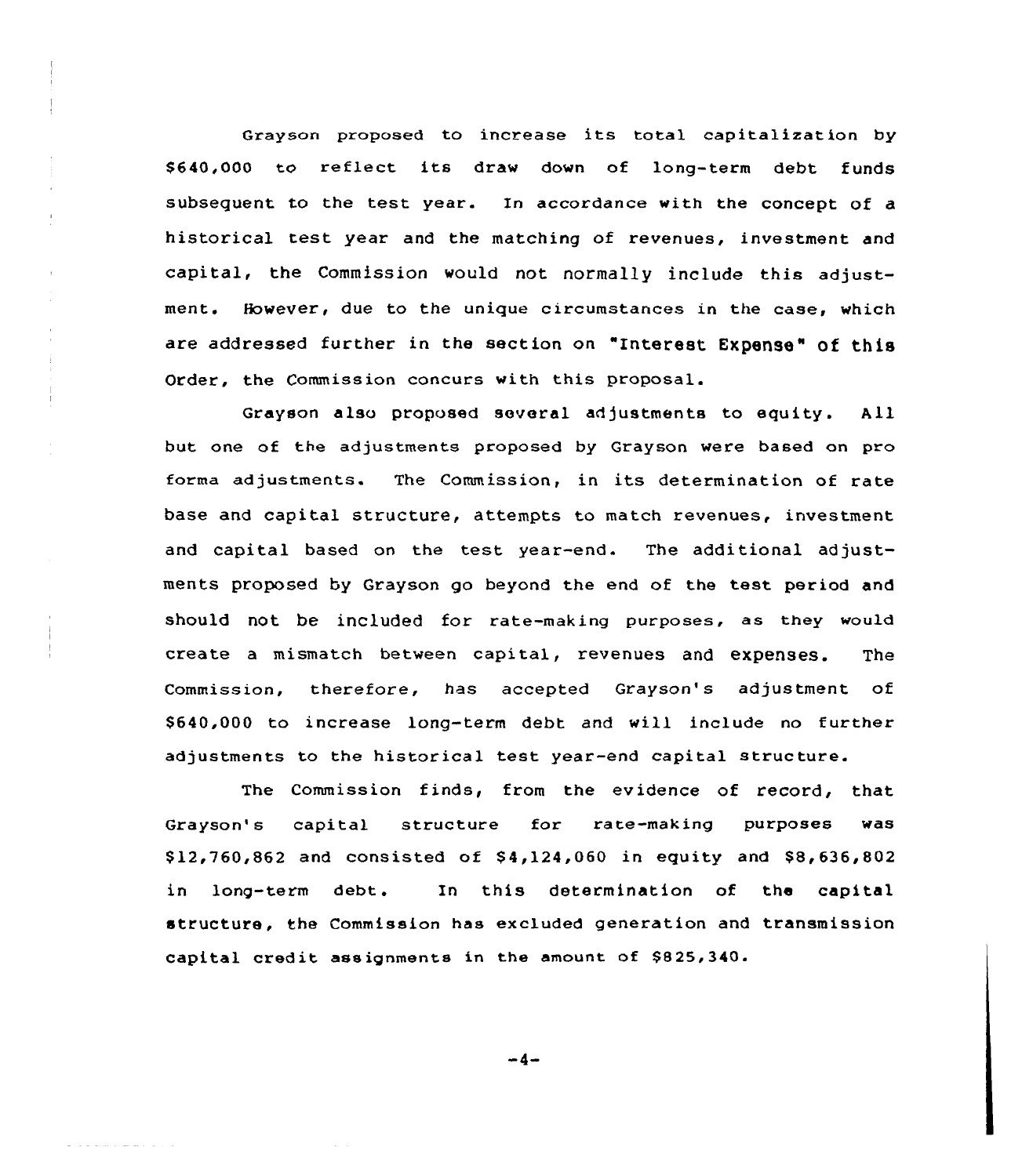Grayson proposed to increase its total capitalization by \$640,000 to reflect its draw down of long-term debt funds subsequent to the test year. In accordance with the concept of a historical test; year and the matching of revenues, investment and capital, the Commission would not normal1y include this adjustment. However, due to the unique circumstances in the case, which are addressed further in the section on "Interest EXpense" of this Order, the Commission concurs with this proposal.

 $\bar{z}$ 

Grayson also proposed several adjustments to equity. All but one of the adjustments proposed by Grayson were based on pro forma adjustments. The Commission, in its determination of rate base and capital structure, attempts to match revenues, investment and capital based on the test year-end. The additional adjustments proposed by Grayson go beyond the end of the test period and should not be included for rate-making purposes, as they would create <sup>a</sup> mismatch between capital, revenues and expenses. The Commission, therefore, has accepted Grayson's adjustment of \$ 640,000 to increase long-term debt and will include no further adjustments to the historical test year-end capital structure.

The Commission finds, from the evidence of record, that Grayson's capital structure for rate-making purposes was  $$12,760,862$  and consisted of  $$4,124,060$  in equity and  $$8,636,802$ in long-term debt. In this determination of the capital structure, the Commission has excluded generation and transmission capital credit assignments in the amount of \$825,340.

-4-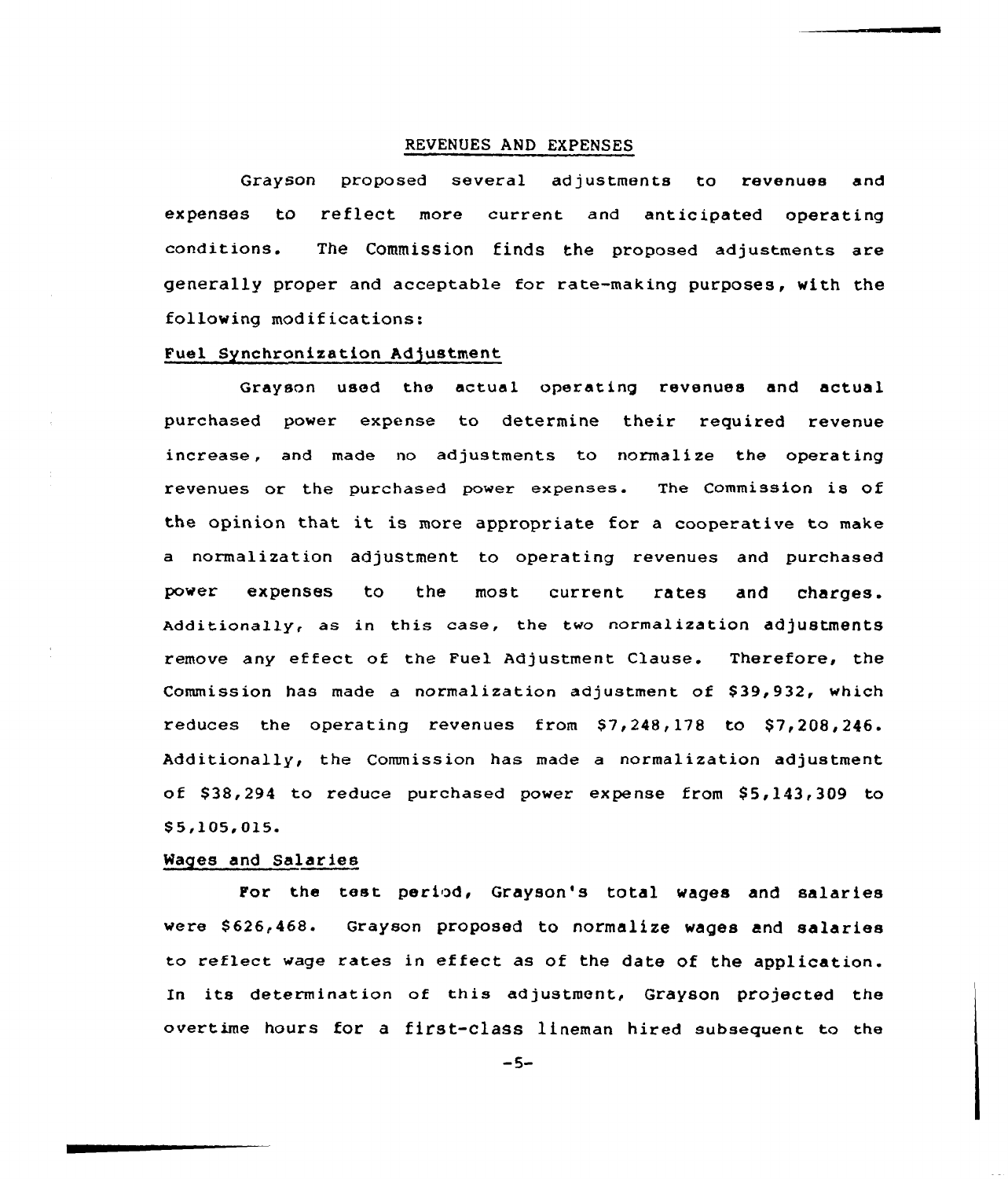## REVENUES AND EXPENSES

Grayson proposed several ad justments to revenues and expenses to reflect more current and anticipated operating conditions. The Commission finds the proposed adjustments are generally proper and acceptable for rate-making purposes, with the following modifications:

## Fuel Synchronization Adjustment

Grayson used the actual operating revenues and actual purchased power expense to determine their required revenue increase, and made no adjustments to normalize the operating revenues or the purchased power expenses. The Commission is of the opinion that it is more appropriate for a cooperative to make a normalization adjustment. to operating revenues and purchased power expenses to the most current rates and charges. Additionally, as in this case, the two normalization adjustments remove any effect of the Fuel Adjustment Clause. Therefore, the Commission has made a normalization adjustment of \$39,932, which reduces the operating revenues from  $$7,248,178$  to  $$7,208,246$ . Additionally, the Commission has made a normalization adjustment of \$38,294 to reduce purchased power expense from \$5,143,309 to \$5,105,015.

### Wages and Salaries

For the test period, Grayson's total wages and salaries were \$626,468. Grayson proposed to normalize wages and salaries to reflect wage rates in effect as of the date of the application. In its determination of this adjustment, Grayson projected the overtime hours for a first-class lineman hired subsequent to the

 $-5-$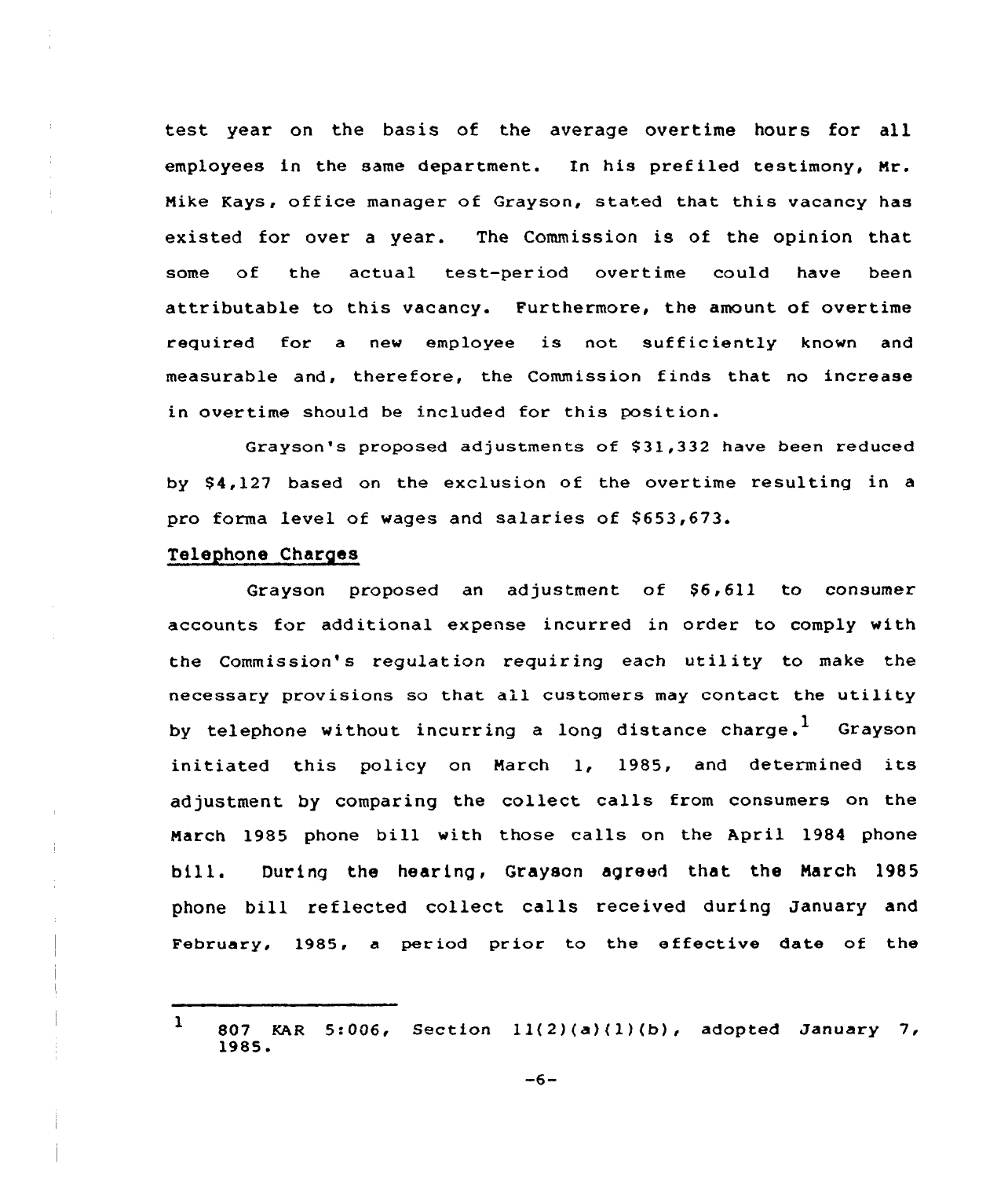test year on the basis of the average overtime hours for all employees in the same department. In his prefiled testimony, Mr. Mike Kays, office manager of Grayson, stated that this vacancy has existed for over a year. The Commission is of the opinion that some of the actual test-period overtime could have been attributable to this vacancy. Furthermore, the amount of overtime required for <sup>a</sup> new employee is not sufficiently known and measurable and, therefore, the Commission finds that no increase in overtime should be included for this position.

Grayson's proposed adjustments of \$31,332 have been reduced by \$4,127 based on the exclusion of the overtime resulting in a pro forma level of wages and salaries of \$653,673.

## Telephone Charges

Grayson proposed an adjustment of  $$6,611$  to consumer accounts for additional expense incurred in order to comply with the Commission's regulation requiring each utility to make the necessary provisions so that all customers may contact the utility by telephone without incurring a long distance charge.<sup>1</sup> Grayson initiated this policy on March 1, 1985, and determined its adjustment by comparing the collect calls from consumers on the March 1985 phone bill with those calls on the April 1984 phone bill. During the hearing, Grayson agreed that the March 1985 phone bill reflected collect calls received during January and February, 1985, a period prior to the effective date of the

<sup>1</sup> <sup>807</sup> KAR 5:006, Section 1)(2)(a)(l)(b), adopted January 7, 1985.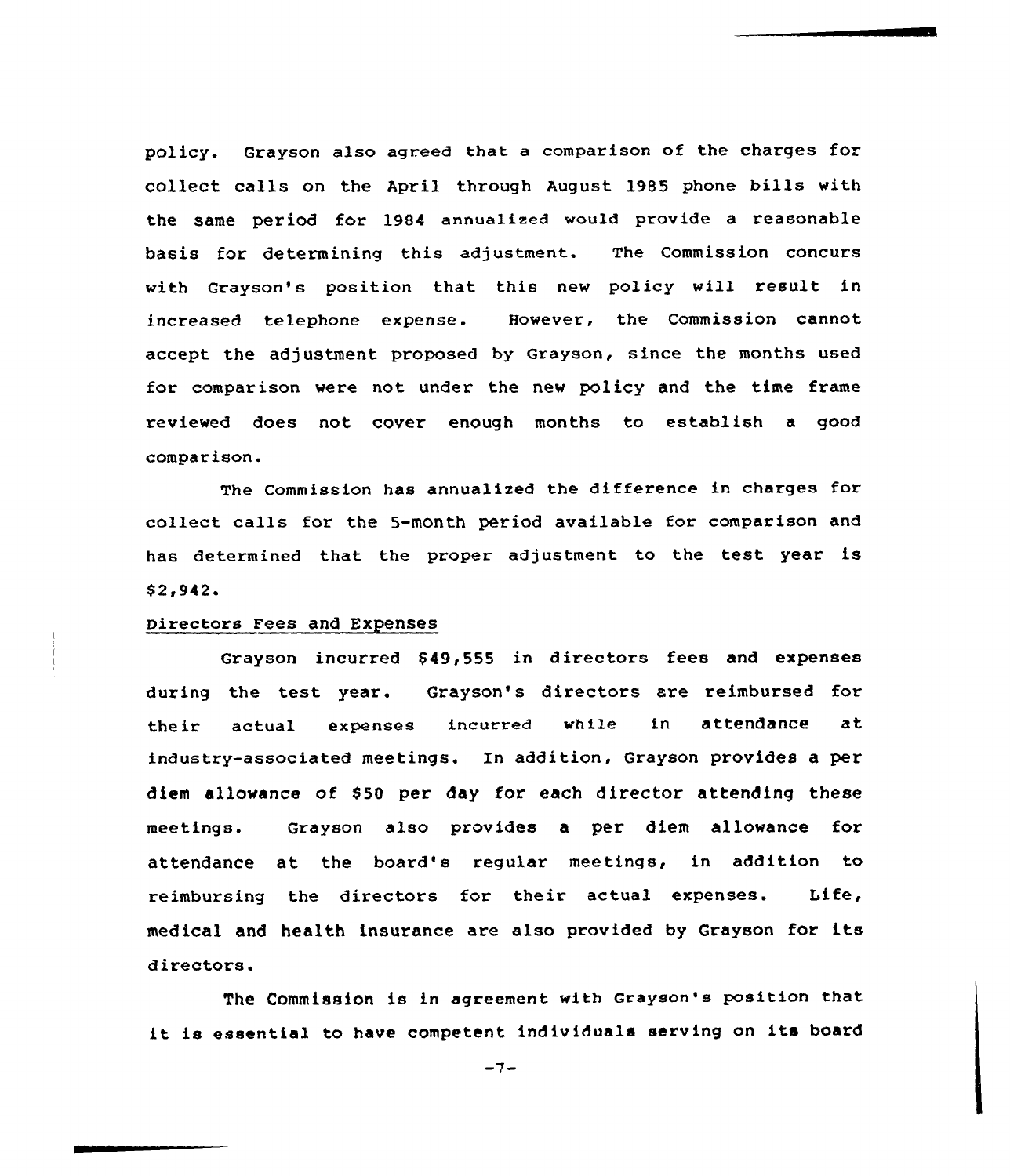policy. Grayson also agreed that a comparison of the charges for collect calls on the April through August 1985 phone bills with the same period for 1984 annualized would provide a reasonable basis for determining this adjustment. The Commission concurs with Grayson's position that this new policy will result in increased telephone expense. However, the Commission cannot accept the adjustment proposed by Grayson, since the months used for comparison were not under the new policy and the time frame reviewed does not cover enough months to establish a good comparison.

The Commission has annualized the difference in charges for collect ca11s for the 5-month period available for comparison and has determined that the proper adjustment to the test year is  $$2,942.$ 

## Directors Fees and Expenses

Grayson incurred \$ 49,555 in directors fees and expenses during the test, year. Grayson's directors are reimbursed for their actual expenses incurred while in attendance at industry-associated meetings. In addition, Grayson provides a per diem allowance of \$50 per day for each director attending these meetings. Grayson also provides a per diem allowance for attendance at the board's regular meetings, in addition to reimbursing the directors for their actual expenses. Life, medical and health insurance are also provided by Grayson for its directors.

The Commission is in agreement with Grayson's position that it is essential to have competent individuals serving on its board

 $-7-$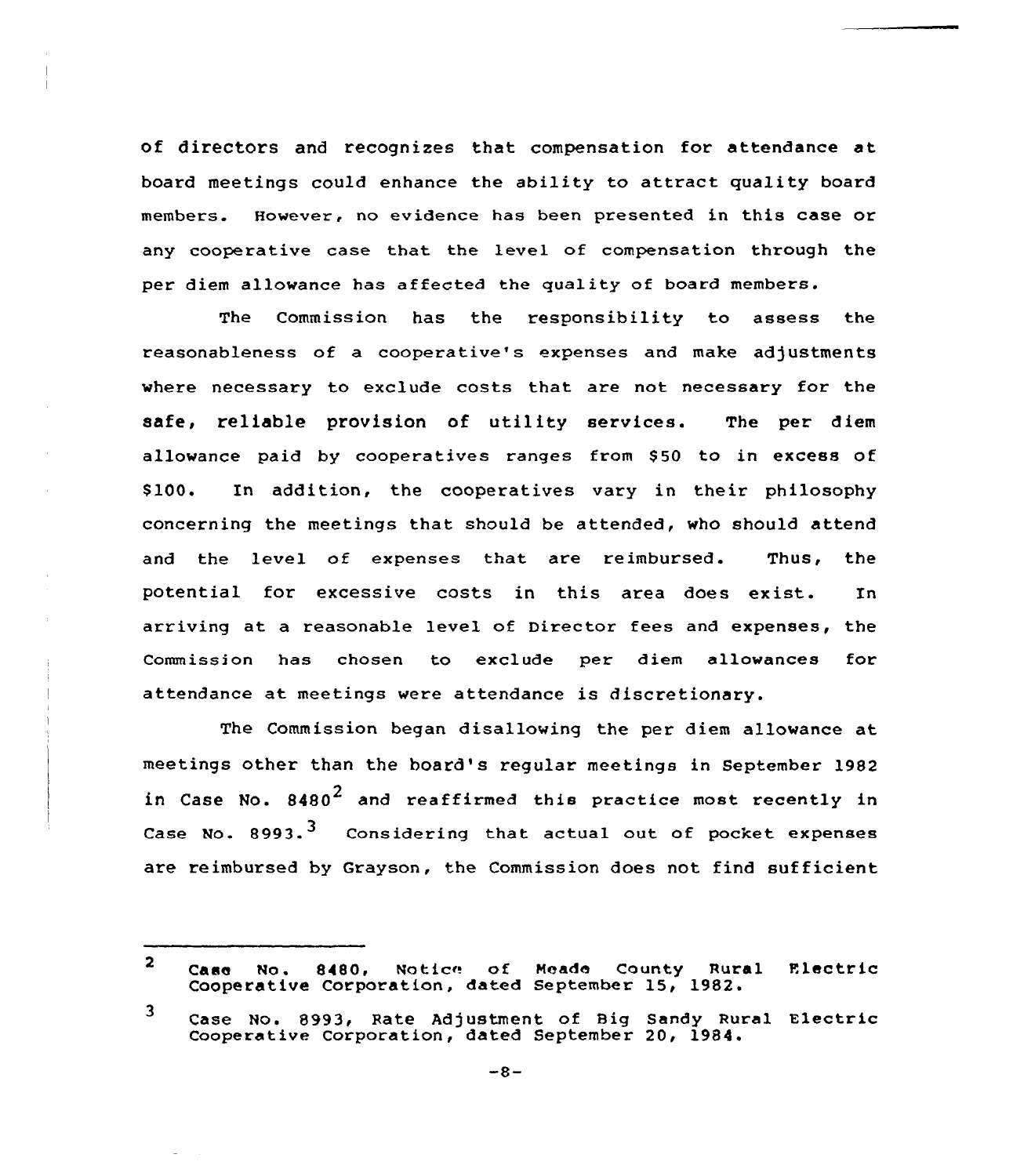of directors and recognizes that compensation for attendance at board meetings could enhance the ability to attract quality board members. However, no evidence has been presented in this case or any cooperative case that the level of compensation through the per diem allowance has affected the quality of board members.

The Commission has the responsibility to assess the reasonableness of a cooperative's expenses and make adjustments where necessary to exclude costs that are not necessary for the safe, reliable provision of utility services. The per diem allowance paid by cooperatives ranges from \$50 to in excess of \$ 100. In addition, the cooperatives vary in their philosophy concerning the meetings that should be attended, who should attend and the level of expenses that are reimbursed. Thus, the potential for excessive costs in this area does exist. In arriving at a reasonable level of Director fees and expenses, the Commission has chosen to exclude per diem allowances for attendance at meetings were attendance is discretionary.

The Commission began disallowing the per diem allowance at meetings other than the board's regular meetings in September 1982 in Case No.  $8480^2$  and reaffirmed this practice most recently in Case No.  $8993.$ <sup>3</sup> Considering that actual out of pocket expenses are reimbursed by Grayson, the Commission does not find sufficient

 $\overline{2}$ Case No. 8480, Noticr of Neade County Rural F.lec tr ic Cooperative Corporation, dated september 15, 1982.

<sup>3</sup> Case No. 8993, Rate Adjustment of Big Sandy Rural Electric Cooperative Corporation, dated September 20, 1984.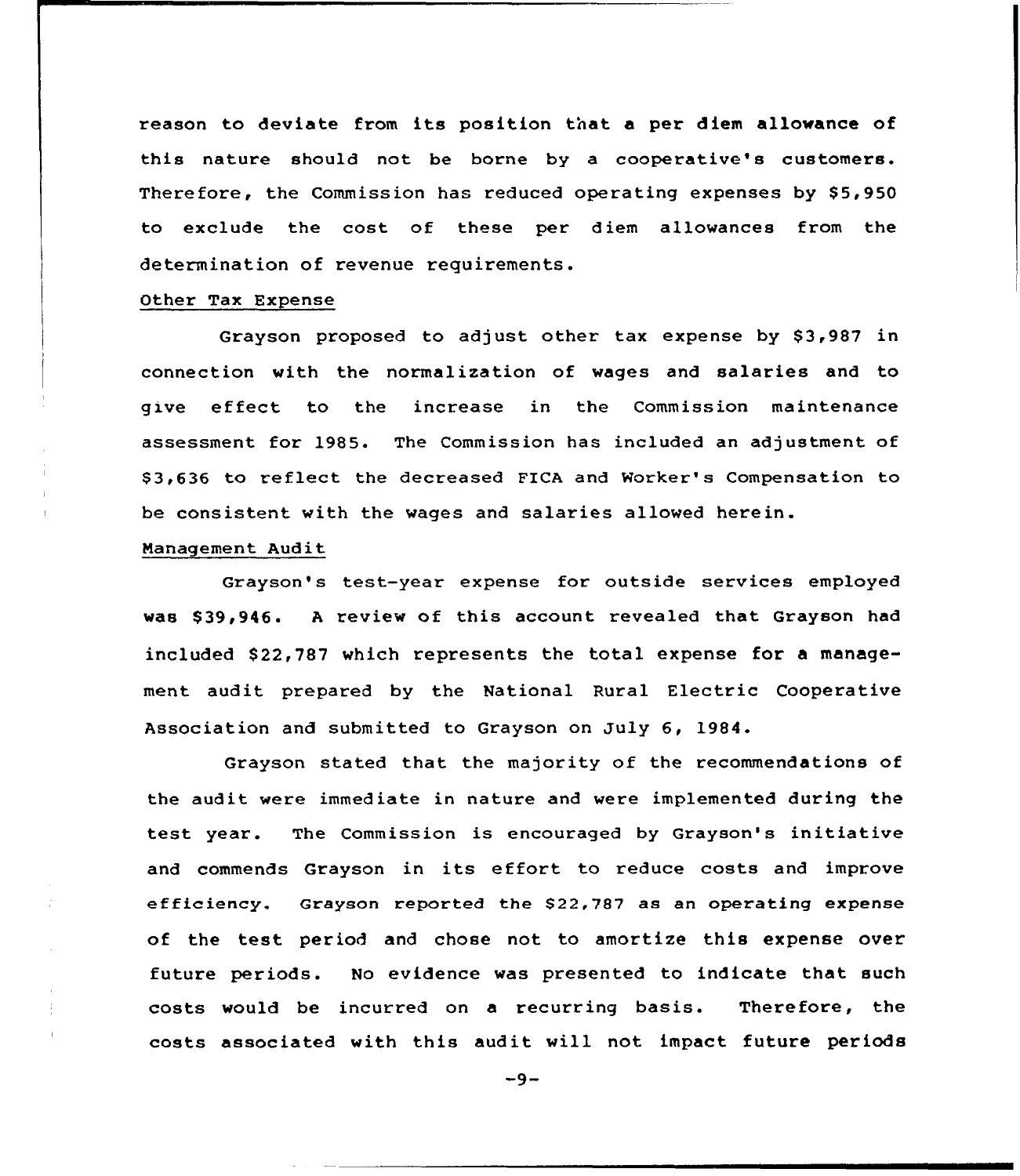reason to deviate from its position that a per diem allowance of this nature should not be borne by a cooperative's customers. Therefore, the Commission has reduced operating expenses by \$5,950 to exclude the cost of these per diem allowances from the determination of revenue requirements.

### Other Tax Expense

Grayson proposed to adjust other tax expense by \$3,987 in connection with the normalization of wages and salaries and to give effect to the increase in the Commission maintenance assessment for 1985. The Commission has included an adjustment of \$3,636 to reflect the decreased FICA and Worker's Compensation to be consistent with the wages and salaries allowed herein.

# Nanagement Audit

Grayson's test-year expense for outside services employed was \$ 39,946. <sup>A</sup> review of this account revealed that Grayson had included \$22,787 which represents the total expense for a management audit pxepared by the National Rural Electric Cooperative Association and submitted to Grayson on July 6, 1984.

Grayson stated that the majority of the recommendations of the audit were immediate in nature and were implemented during the test year. The Commission is encouraged by Grayson's initiative and commends Grayson in its effort to reduce costs and improve efficiency. Grayson reported the \$22,787 as an operating expense of the test period and chose not to amortize this expense over future periods. No evidence was presented to indicate that such costs would be incurred on a recurring basis. Therefore, the costs associated with this audit will not impact future periods

 $-9-$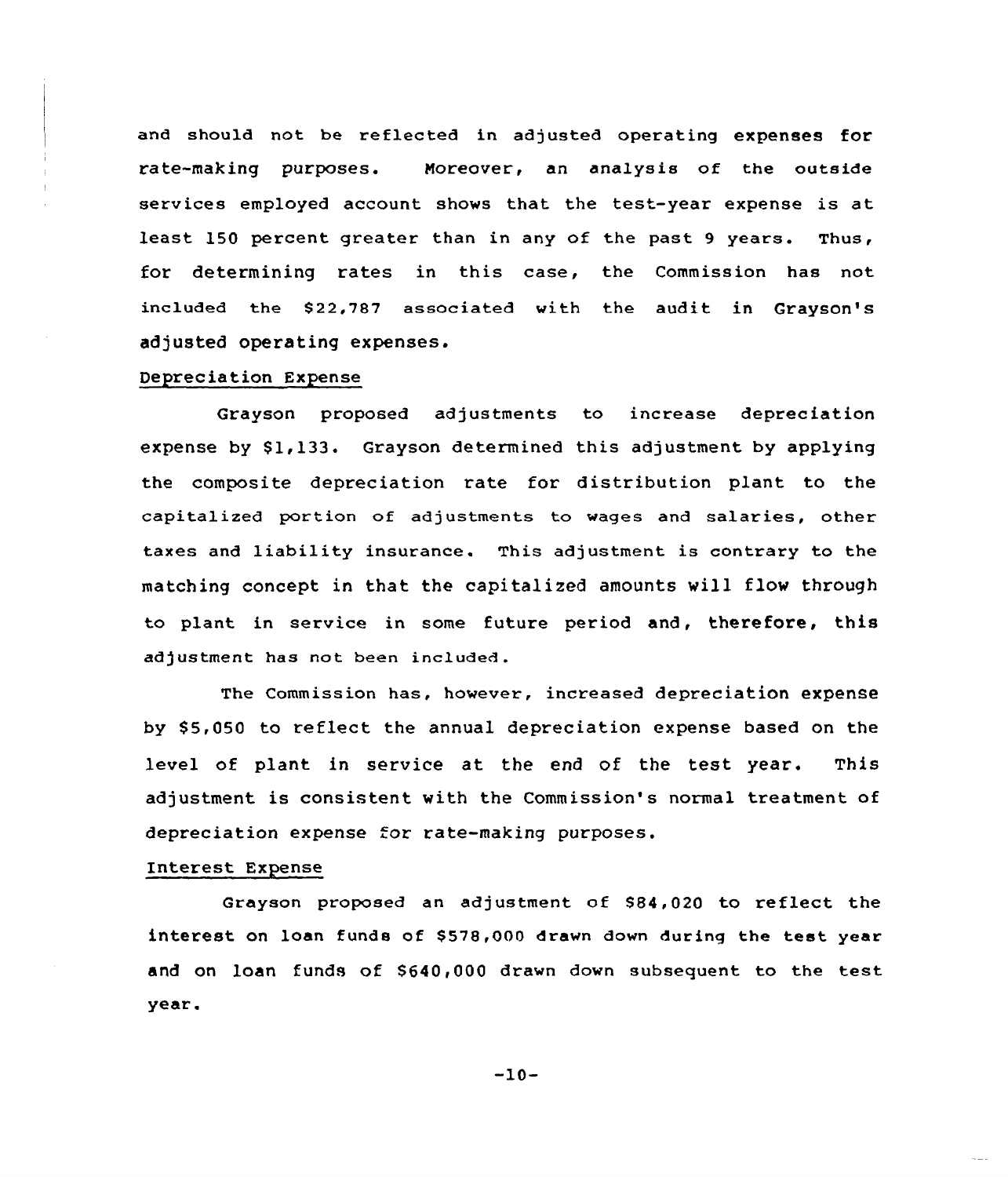and should not be reflected in adjusted operating expenses for rate-making purposes. Moreover, an analysis of the outside services employed account shows that the test-year expense is at least 150 percent greater than in any of the past 9 years. Thus, for determining rates in this case, the Commission has not included the \$22,787 associated with the audit in Grayson's adjusted operating expenses.

## Depreciation Expense

Grayson proposed adjustments to increase depreciation expense by  $$1,133$ . Grayson determined this adjustment by applying the composite depreciation rate for distribution plant to the capitalized portion of adjustments to wages and salaries, other taxes and liability insurance. This adjustment is contrary to the matching concept in that the capitalized amounts will flow through to plant in service in some future period and, therefore, this adjustment has not been included.

The Commission has, however, increased depreciation expense by \$5,050 to reflect the annual depreciation expense based on the level of plant in service at the end of the test year. This adjustment is consistent with the Commission's normal treatment of depreciation expense for rate-making purposes.

## Interest Expense

Grayson proposed an adjustment of \$84,020 to reflect the interest on loan funds of \$578,000 drawn down during the test year and on loan funds of \$640,000 drawn down subsequent to the test year.

 $-10-$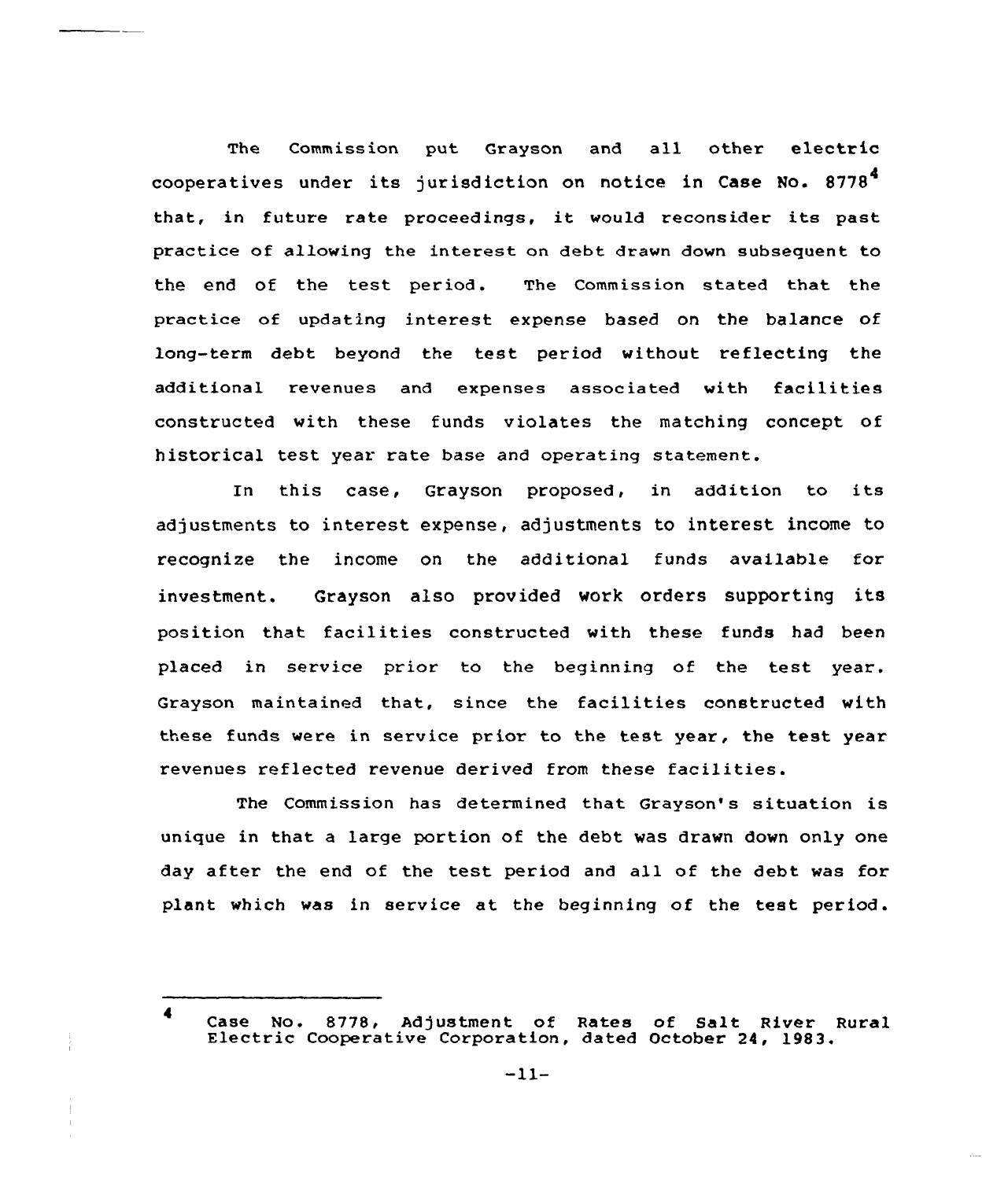The Commission put Grayson and all other electric cooperatives under its jurisdiction on notice in Case No. 8778 that, in future rate proceedings, it would reconsider its past practice of allowing the interest on debt drawn down subsequent to the end of the test period. The Commission stated that the practice of updating interest expense based on the balance of long-term debt beyond the test period without reflecting the additional revenues and expenses associated with facilities constructed with these funds violates the matching concept of historical test year rate base and operating statement.

In this case, Grayson proposed, in addition to its adjustments to interest expense, adjustments to interest income to recognize the income on the additional funds available for investment. Grayson also provided work orders supporting its position that facilities constructed with these funds had been placed in service prior to the beginning of the test year. Grayson maintained that, since the facilities constructed with these funds were in service prior to the test year, the test year revenues reflected revenue derived from these facilities.

The Commission has determined that Grayson's situation is unique in that a large portion of the debt was drawn down only one day after the end of the test period and all of the debt was for plant which was in service at the beginning of the test period.

 $\blacktriangleleft$ Case No. 8778, Adjustment of Bates of Salt River Rural Electric Cooperative Corporation, dated October 24, 1983.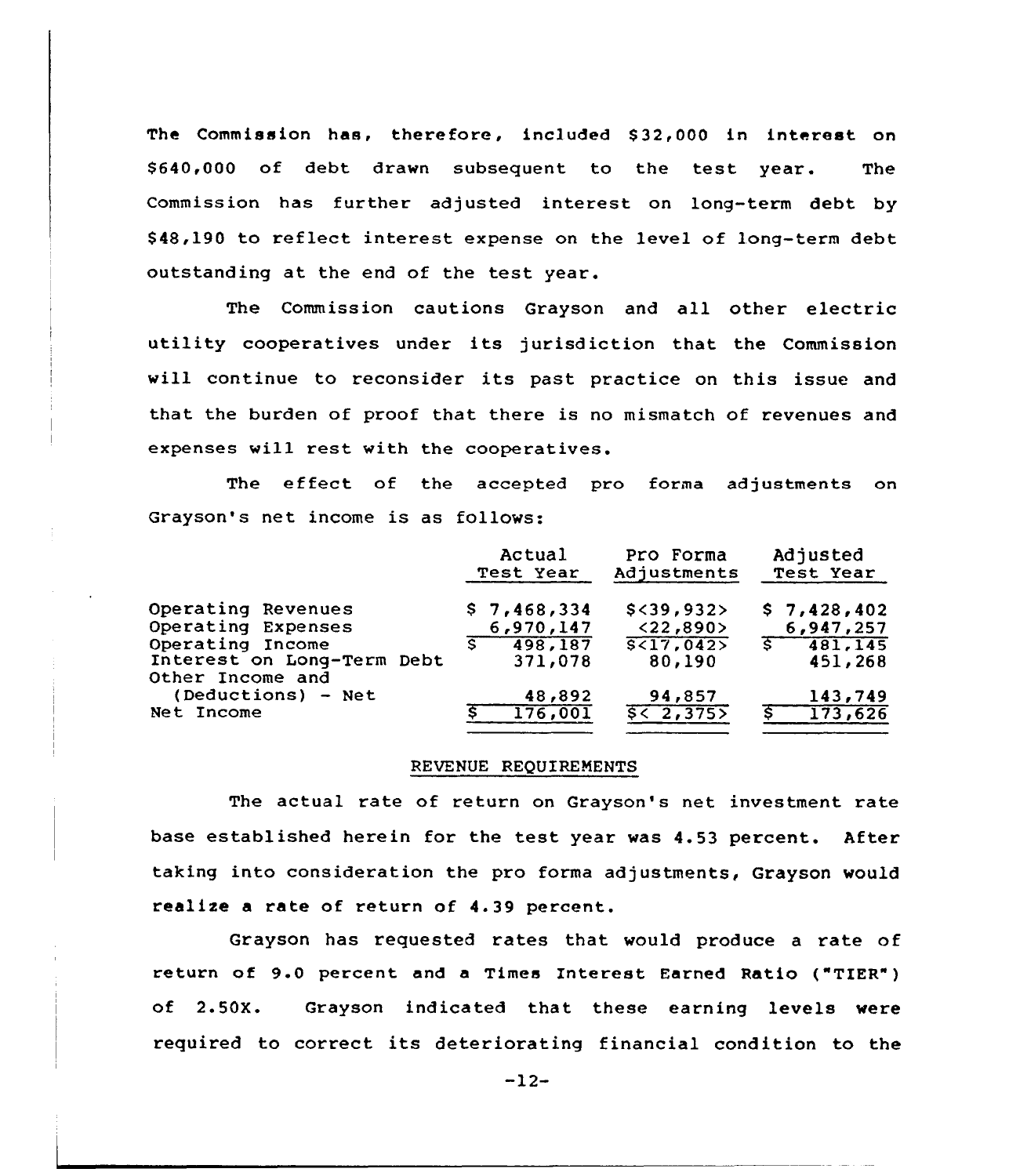The Commission has, therefore, included S32,000 in interest on S640,000 of debt drawn subsequent to the test year. The Commission has further adjusted interest on long-term debt by S48,190 to reflect interest expense on the level of long-term debt outstanding at the end of the test year.

The Commission cautions Grayson and all other electric utility cooperatives under its jurisdiction that the Commission will continue to reconsider its past practice on this issue and that the burden of proof that there is no mismatch of revenues and expenses will rest with the cooperatives.

The effect of the accepted pro forma adjustments on Grayson's net income is as follows:

|                            | Actual<br>Test Year | Pro Forma<br>Adjustments | Adjusted<br>Test Year       |  |
|----------------------------|---------------------|--------------------------|-----------------------------|--|
| Operating Revenues         | \$7,468,334         | $$<$ 39,932>             | \$7,428,402                 |  |
| Operating Expenses         | 6,970,147           | < 22,890                 | 6,947,257                   |  |
| Operating Income           | 498,187             | S(17, 042)               | $\overline{\xi}$<br>481,145 |  |
| Interest on Long-Term Debt | 371,078             | 80,190                   | 451,268                     |  |
| Other Income and           |                     |                          |                             |  |
| (Deductions) - Net         | 48,892              | 94,857                   | 143,749                     |  |
| Net Income                 | 176,001             | 552,3755                 | 173,626<br>s.               |  |

#### REVENUE REQUIREMENTS

The actual rate of return on Grayson's net investment rate base established herein for the test year was 4.53 percent. After taking into consideration the pro forma adjustments, Grayson would realize a rate of return of 4. 39 percent.

Grayson has requested rates that would produce a rate of return of 9.0 percent and <sup>a</sup> Times Interest Earned Ratio ("TIER" ) of 2.50X. Grayson indicated that these earning levels were required to correct its deteriorating financial condition to the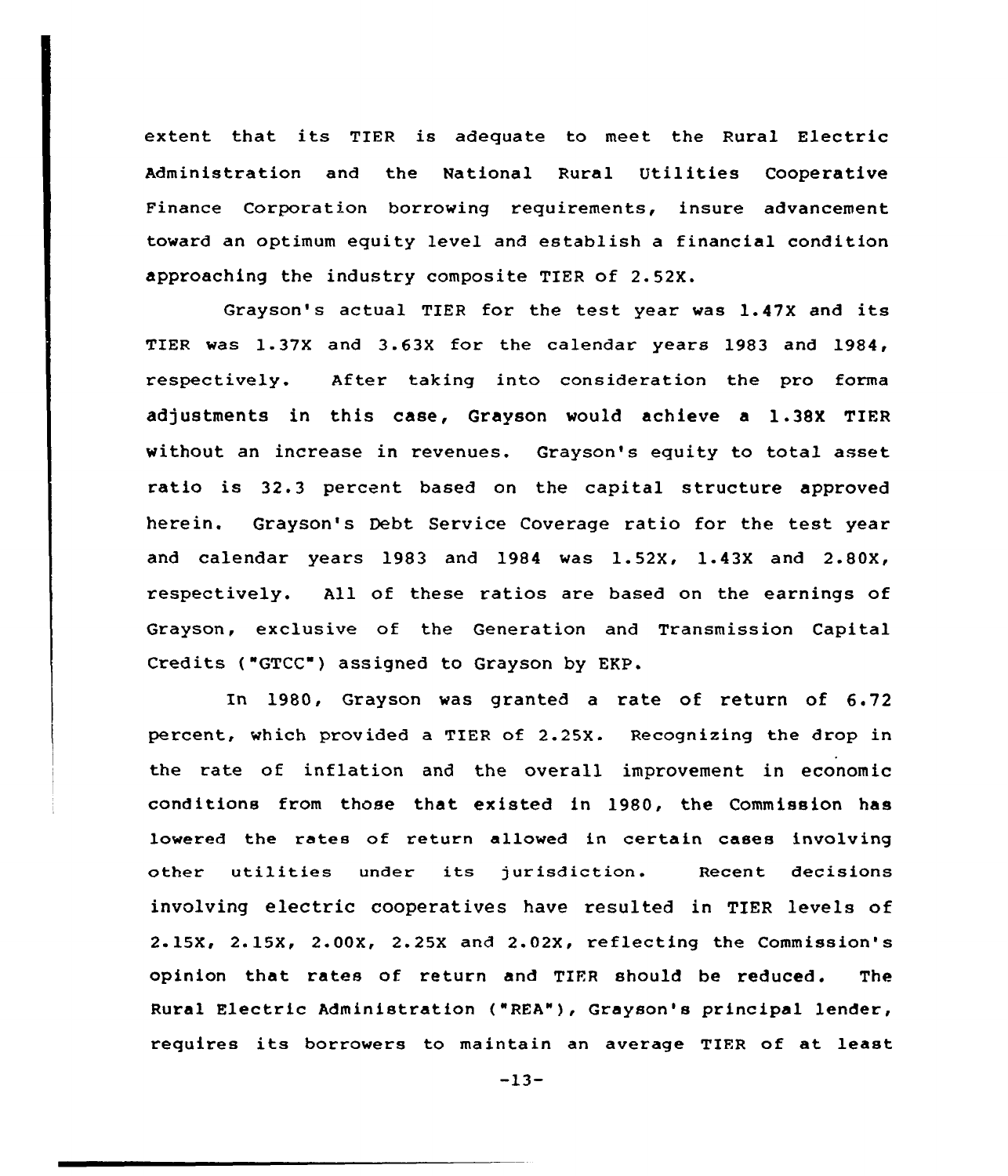extent that its TIER is adequate to meet the Rural Electric Administration and the National Rural Utilities Cooperative Finance Coxporation borrowing requixements, insure advancement toward an optimum equity level and establish a financial condition approaching the industry composite TIER of 2. 52X.

Grayson's actual TIER for the test year was 1.47X and its TIER was l. 37X and 3.63X for the calendar years <sup>1983</sup> and 1984, respectively. After taking into consideration the pro forma adjustments in this case, Grayson would achieve a 1.38X TIER without an increase in revenues. Grayson's equity to total asset ratio is 32.3 percent based on the capital structure approved herein. Grayson's Debt Service Coverage ratio for the test year and calendar years 1983 and 1984 was 1.52X, 1.43X and 2.80X, respectively. All of these ratios are based on the earnings of Grayson, exclusive of the Generation and Transmission Capital Credits ("GTCC") assigned to Grayson by EKP.

In 1980, Grayson was granted a rate of return of 6.72 percent, which provided a TIER of 2.25X. Recognizing the drop in the rate of inflation and the overall improvement in economic conditions fxom those that existed in 1980, the Commission has lowered the rates of xeturn allowed in certain cases involving other utilities under its jurisdiction. Recent decisions involving electric cooperatives have resulted in TIER levels of 2.15X, 2.15X, 2.00X, 2.25X and 2.02X, reflecting the Commission's opinion that, rates of return and TIER should be reduced. The Rural Electric Administration ("REA"), Grayson's principal lender, requires its borrowers to maintain an average TIFR of at least

 $-13-$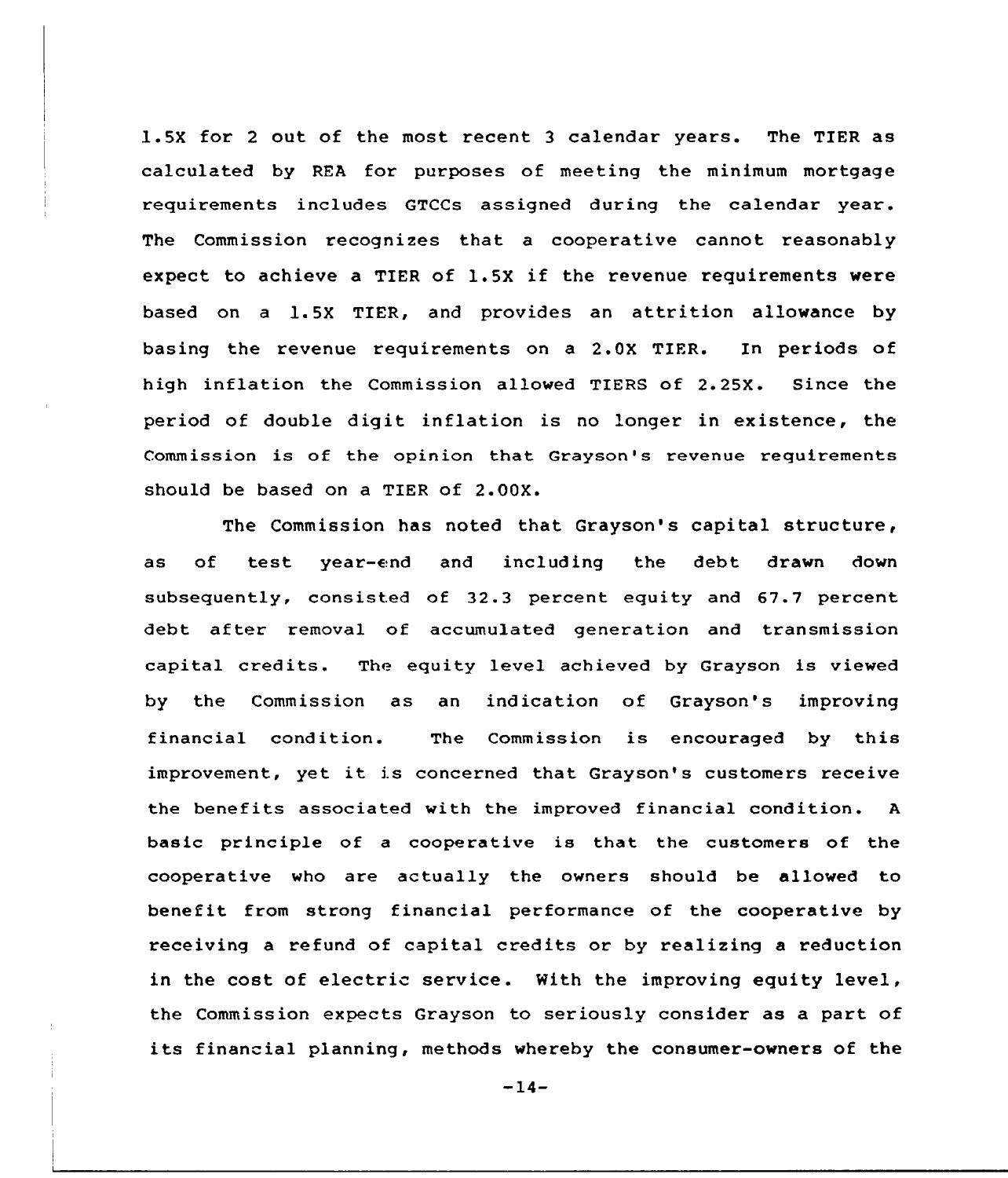1.5X for <sup>2</sup> out of the most recent 3 calendar years. The TIER as calculated by REA for purposes of meeting the minimum mortgage requirements includes GTCCs assigned during the calendar year. The Commission recognizes that a cooperative cannot reasonably expect to achieve <sup>a</sup> TIER of 1.5X if the revenue requirements were based on <sup>a</sup> 1.5X TIER, and provides an attrition allowance by basing the revenue requirements on a 2.0X TIER. In periods of high inflation the Commission allowed TIERS of 2.25X. Since the period of double digit inflation is no longer in existence, the Commission is of the opinion that Grayson's revenue requirements should be based on a TIER of 2.00X.

The Commission has noted that Grayson's capital structure, as of test year-end and including the debt drawn down subsequently, consisted of 32.3 percent equity and 67.7 percent debt after removal of accumulated generation and transmission capital credits. The equity level achieved by Grayson is viewed by the Commission as an indication of Grayson's improving financial condition. The Commission is encouraged by this improvement, yet it is concerned that Grayson's customers receive the benefits associated with the improved financial condition. <sup>A</sup> basic principle of a cooperative is that the customers of the cooperative who are actually the owners should be allowed to benefit from strong financial performance of the cooperative by receiving a refund of capital credits or by realizing a reduction in the cost of electric service. Nith the improving equity level, the Commission expects Grayson to seriously consider as a part of its financial planning, methods whereby the consumer-owners of the

 $-14-$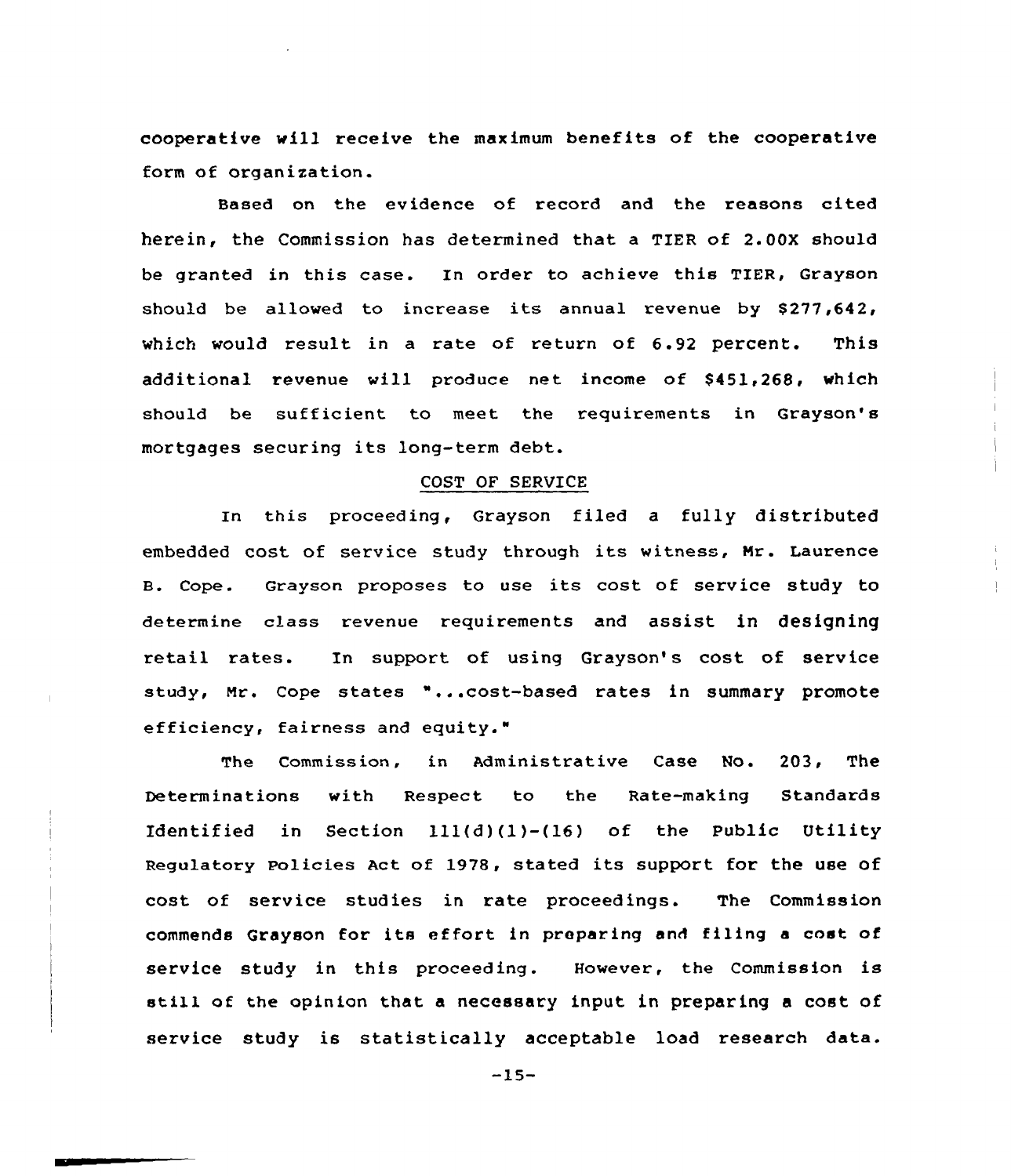cooperative will receive the maximum benefits of the cooperative form of organization.

Based on the evidence of record and the reasons cited herein, the Commission has determined that a TIER of 2.00X should be granted in this case. In order to achieve this TIER, Grayson should be allowed to increase its annual revenue by \$277,642, which would result in a rate of return of  $6.92$  percent. This additional revenue will produce net income of \$451,268, which should be sufficient to meet the requirements in Grayson's mortgages securing its long-term debt.

## COST OF SERVICE

In this proceeding, Grayson filed a fully distributed embedded cost of service study through its witness, Hr. Laurence B. Cope. Grayson proposes to use its cost of service study to determine class revenue requirements and assist in designing retail rates. In support of using Grayson's cost of service study, Nr. Cope states "...cost-based rates in summary promote efficiency, fairness and equity."

The Commission, in Administrative Case No. 203, The Determinations with Respect to the Rate-making Standards Identified in Section 111(d)(1)-(16) of the Public Utility Regulatory Policies Act of 1978, stated its support for the use of cost of service studies in rate proceedings. The Commission commends Grayson for its effort in preparing and filing <sup>a</sup> cost of service study in this proceeding. However, the Commission is still of the opinion that <sup>a</sup> necessary input in preparing <sup>a</sup> cost of service study is statistically acceptable load research data.

 $-15-$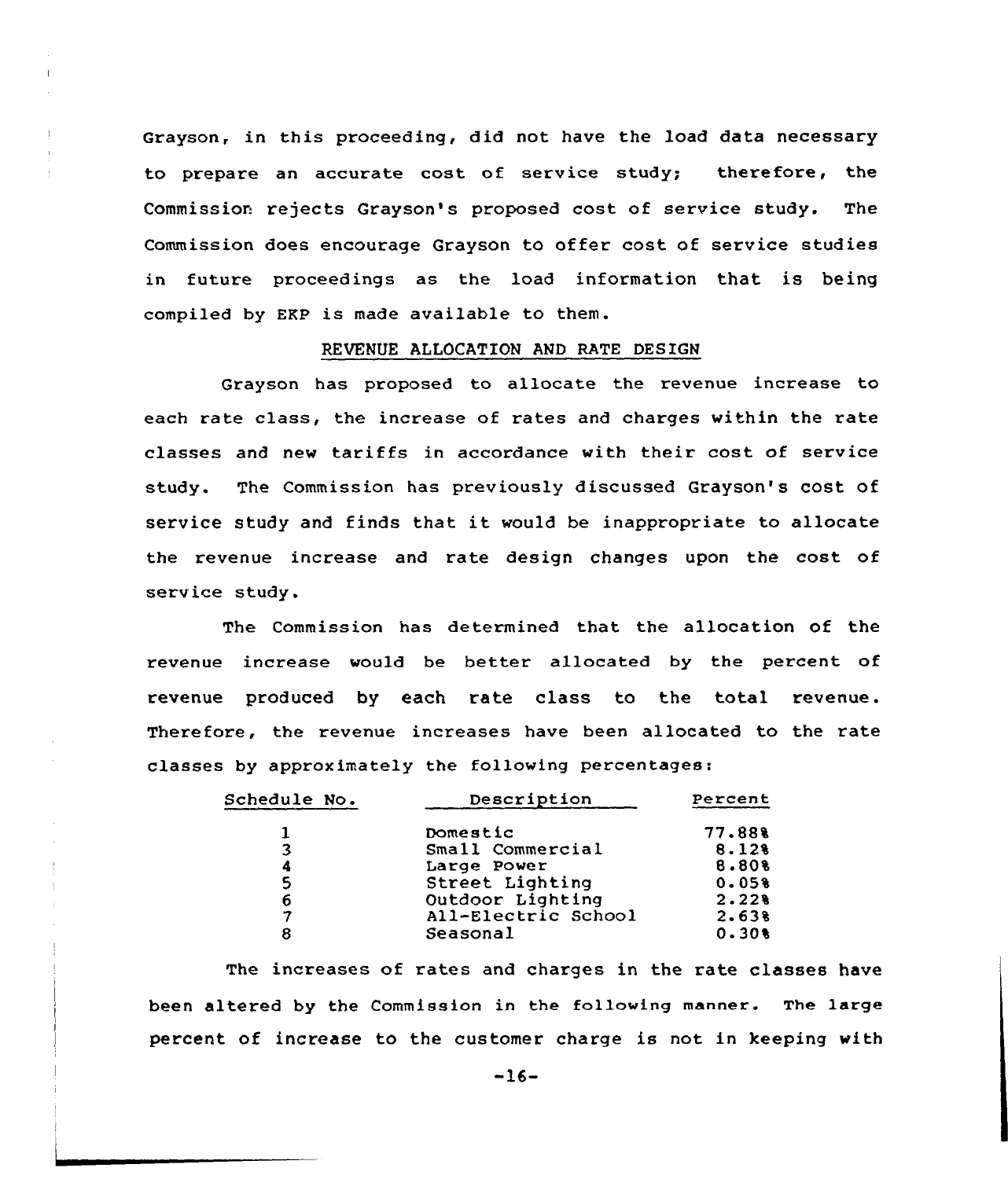Grayson, in this proceeding, did not have the load data necessary to prepare an accurate cost of service study; therefore, the Commission rejects Grayson's proposed cost of service study. The Commission does encourage Grayson to offer cost of service studies in future proceedings as the load information that is being compiled by EKP is made available to them.

#### REVENUE ALLOCATION AND RATE DESIGN

Grayson has proposed to allocate the revenue increase to each rate class, the increase of rates and charges within the rate classes and new tariffs in accordance with their cost of service study. The Commission has previously discussed Grayson's cost of service study and finds that it would be inappropriate to allocate the revenue increase and rate design changes upon the cost of service study.

The Commission has determined that the allocation of the revenue increase would be better allocated by the percent of revenue produced by each rate class to the total revenue. Therefore, the revenue increases have been allocated to the rate classes by appraximately the following percentages:

| <b>Schedule No.</b> | Description         | Percent |  |
|---------------------|---------------------|---------|--|
|                     | Domestic            | 77.88%  |  |
| 3                   | Small Commercial    | 8.128   |  |
| 4                   | Large Power         | 8.80%   |  |
| 5                   | Street Lighting     | 0.058   |  |
| 6                   | Outdoor Lighting    | 2.228   |  |
| 7                   | All-Electric School | 2.638   |  |
| 8                   | Seasonal            | 0.308   |  |
|                     |                     |         |  |

The increases of rates and charges in the rate classes have been altered by the Commission in the following manner. The large percent of increase to the customer charge is not in keeping with

-16-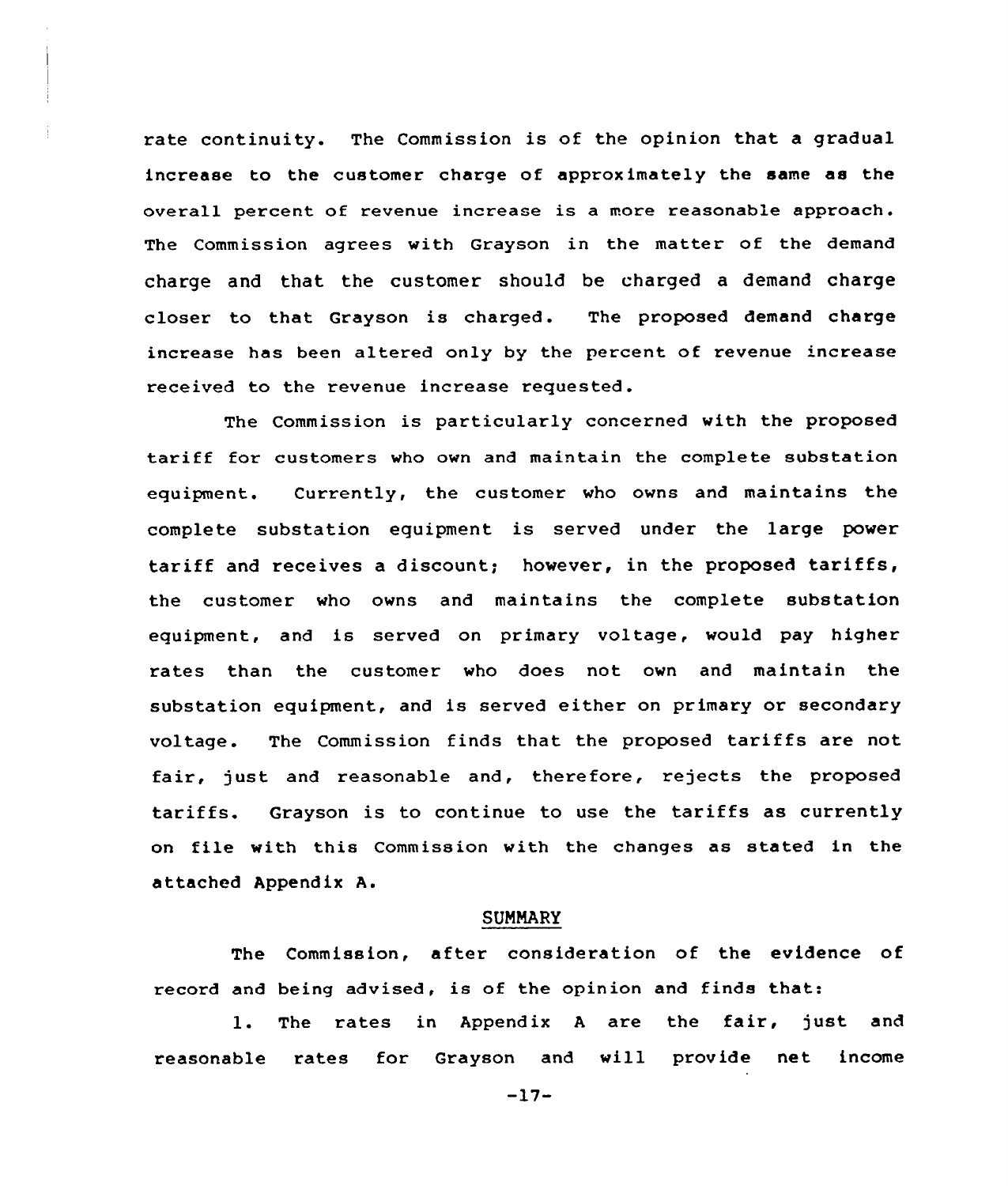rate continuity. The Commission is of the opinion that a gradual increase to the customer charge of approximately the same as the overall percent of revenue increase is a more reasonable approach. The Commission agrees with Grayson in the matter of the demand charge and that the customer should be charged a demand charge closer to that Grayson is charged. The proposed demand charge increase has been altered only by the percent of revenue increase received to the revenue increase requested.

The Commission is particularly concerned with the proposed tariff for customers who own and maintain the complete substation equipment. Currently, the customer who owns and maintains the complete substation equipment is served under the large power tariff and receives <sup>a</sup> discount; however, in the proposed tariffs, the customer who owns and maintains the complete substation equipment, and is served on primary voltage, would pay higher rates than the customer who does not own and maintain the substation equipment, and is served either on primary or secondary voltage. The Commission finds that the proposed tariffs are not fair, just and reasonable and, therefore, rejects the proposed tariffs. Grayson is to continue to use the tariffs as currently on file with this Commission with the changes as stated in the attached Appendix A.

## **SUMMARY**

The Commission, after consideration of the evidence of record and being advised, is of the opinion and finds that:

l. The rates in Appendix <sup>A</sup> are the fair, just and reasonable rates for Grayson and will provide net income

-17-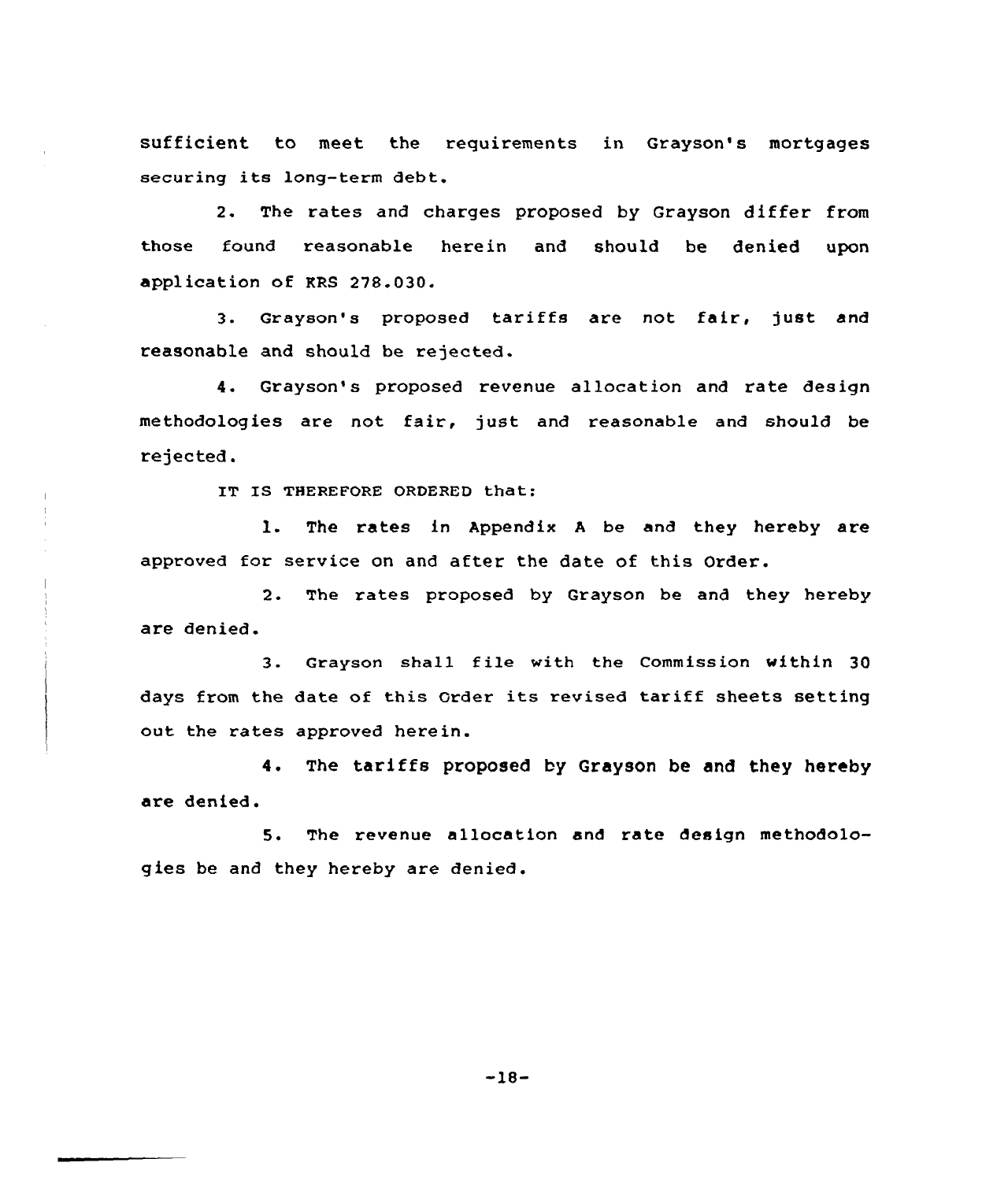sufficient to meet the requirements in Grayson's mortgages securing its long-term debt.

2. The rates and charges proposed by Grayson differ from those found reasanable herein and should be denied upon application of KRS 278.030.

3. Grayson's proposed tariffs are not fair, just and reasonable and should be rejected.

4. Grayson's proposed revenue allocation and rate design methodologies are not fair, just and reasonable and should be rejected.

IT IS THEREFORE ORDERED that:

l. The rates in Appendix <sup>A</sup> be and they hereby are approved for service on and after the date of this Order.

2. The rates proposed by Grayson be and they hereby are denied.

3. Grayson shall file with the Commission within 30 days from the date of this Order its revised tariff sheets setting out the rates approved herein.

4. The tariffs proposed by Grayson be and they hereby are denied.

5. The revenue allocation and rate design methodologies be and they hereby are denied.

-18-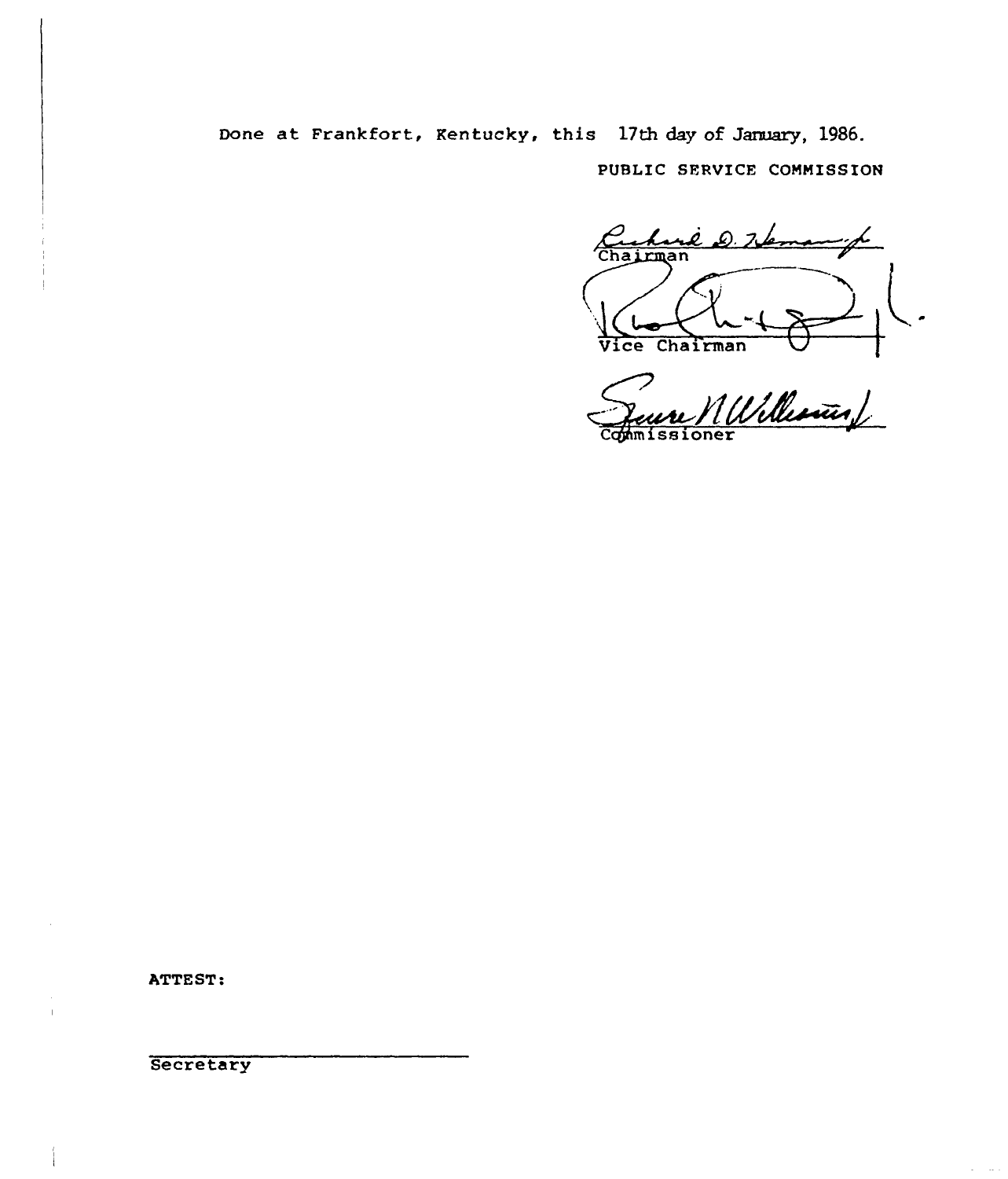Done at Frankfort, Kentucky, this 17th day of January, 1986.

PUBLIC SFRVICE COMMISSION

rê D. K L Chairman

Vice Chairman<br>Jeune MUlleninf Commissioner

ATTEST:

**Secretary**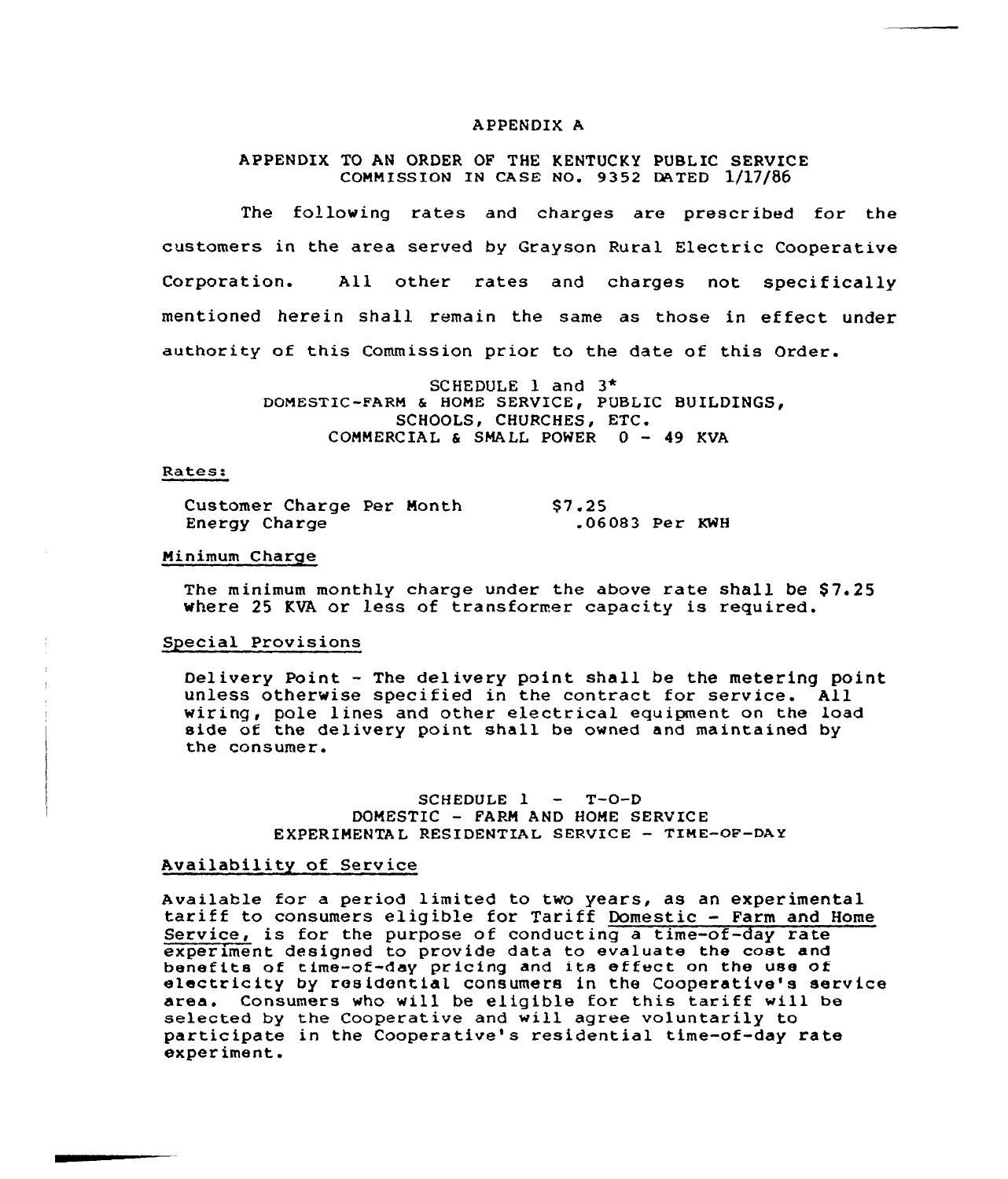#### APPENDIX A

### APPENDIX TO AN ORDER OF THE KENTUCKY PUBLIC SERVICE COMMISSION IN CASE NO. 9352 DATED 1/17/86

The following rates and charges are prescribed for the customers in the area served by Grayson Rural Electric Cooperative Corporation. All other rates and charges not specifically mentioned herein shall remain the same as those in ef feet under authority of this Commission prior to the date of this Order.

> SCHEDULE l and 3\* DOMESTIC-FARM & HOME SERVICE, PUBLIC BUILDINGS, SCHOOLS, CHURCHES, ETC. COMMERCIAL & SMALL POWER 0 — 49 KVA

#### Rates:

|               | Customer Charge Per Month |  | \$7.25           |  |
|---------------|---------------------------|--|------------------|--|
| Energy Charge |                           |  | $.06083$ Per KWH |  |

### Minimum Charge

The minimum monthly charge under the above rate shall be \$7.25 where 25 KVA or less of transformer capacity is required.

#### Special Provisions

Delivery Point — The delivery point shall be the metering point unless otherwise specified in the contract for service. All wiring, pole lines and other electrical equipment on the load side of the delivery point shall be owned and maintained by the consumer.

> SCHEDULE  $l - T-O-D$ DOMESTIC - FARM AND HOME SERVICE EXPERIMENTAL RESIDENTIAL SERVICE - TIME-OF-DAY

### Availability of Service

Available for <sup>a</sup> period limited to two years, as an experimental tariff to consumers eligible for Tariff Domestic — Farm and Home Service, is for the purpose of conducting a time-of-day rate experiment designed to provide data to evaluate the cost and benefits of time-of-day pricing and its effect on the use of<br>electricity by residential consumers in the Cooperative's service<br>area. Consumers who will be eligible for this tariff will be Consumers who will be eligible for this tariff will be selected by the Cooperative and will agree voluntarily to participate in the Cooperative's residential time-of-day rate experiment.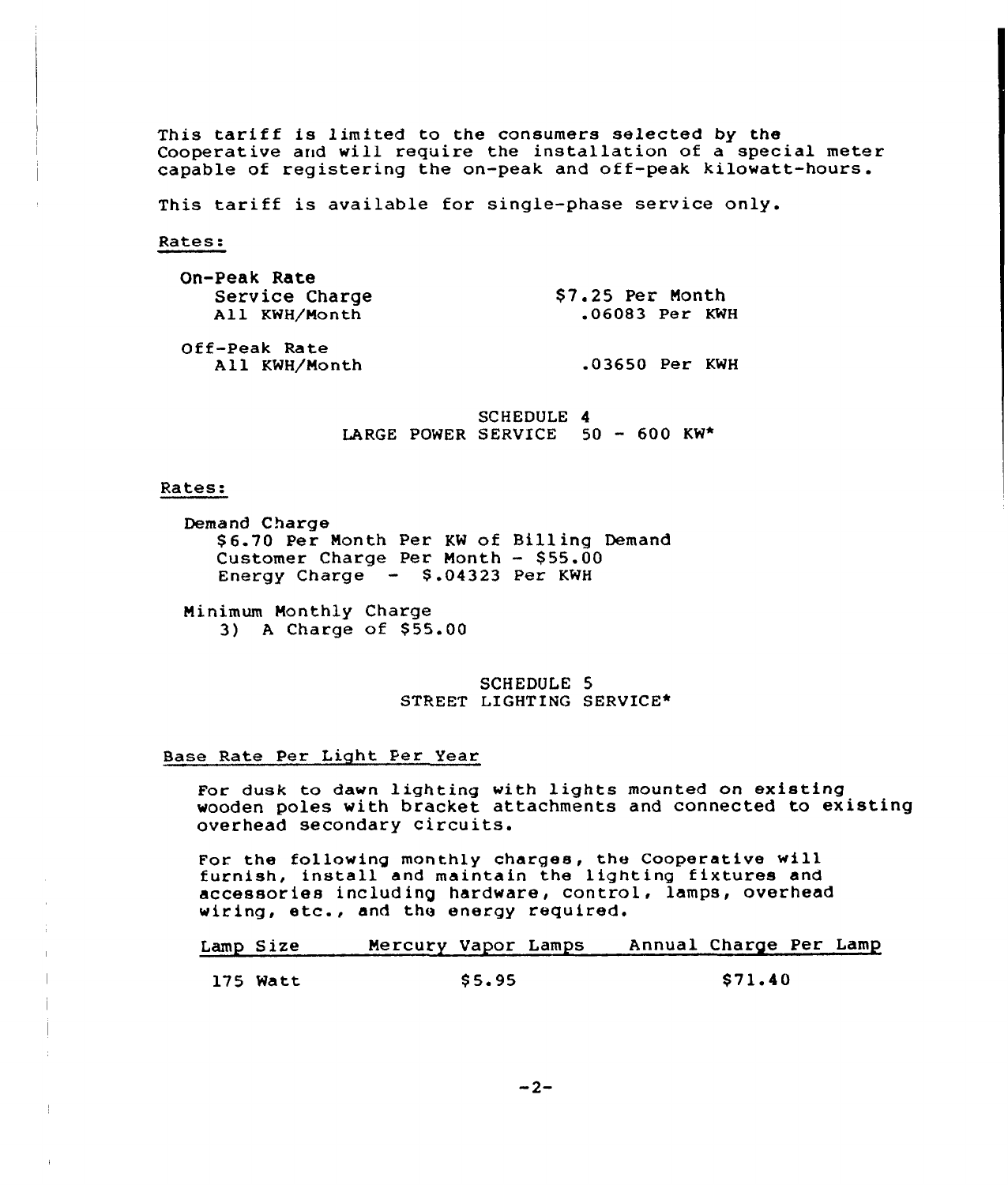This tariff is limited to the consumers selected by the Cooperative and will require the installation of a special meter capable of registering the on-peak and off-peak kilowatt-hours.

This tariff is available for single-phase service only.

Rates:

| On-Peak Rate   |                  |
|----------------|------------------|
| Service Charge | \$7.25 Per Month |
| All KWH/Month  | $.06083$ Per KWH |
| Off-Peak Rate  |                  |
| All KWH/Month  | .03650 Per KWH   |

SCHEDULE 4 LARGE POWER SERVICE 50 — 600 KW\*

#### Rates:

Demand Charge \$ 6.70 Per Nonth Per KW of Bill ing Demand Customer Charge Per Month  $-$  \$55.00 Energy Charge - \$.04323 Per KWH

Minimum Monthly Charge 3) A Charge of \$55.00

> SCHEDULE 5 STREET LIGHTING SERVICE\*

#### Base Rate Per Light Per Year

For dusk to dawn lighting with lights mounted on existing wooden poles with bracket attachments and connected to existing overhead secondary circuits.

For the following monthly charges, the Cooperative will furnish, install and maintain the lighting fixtures and accessories including hardware, control, lamps, overhead wiring, etc., and the energy required.

Lamp Size 175 Watt Mercury Vapor Lamps \$ 5.95 Annual Charge Per Lamp \$ 71.40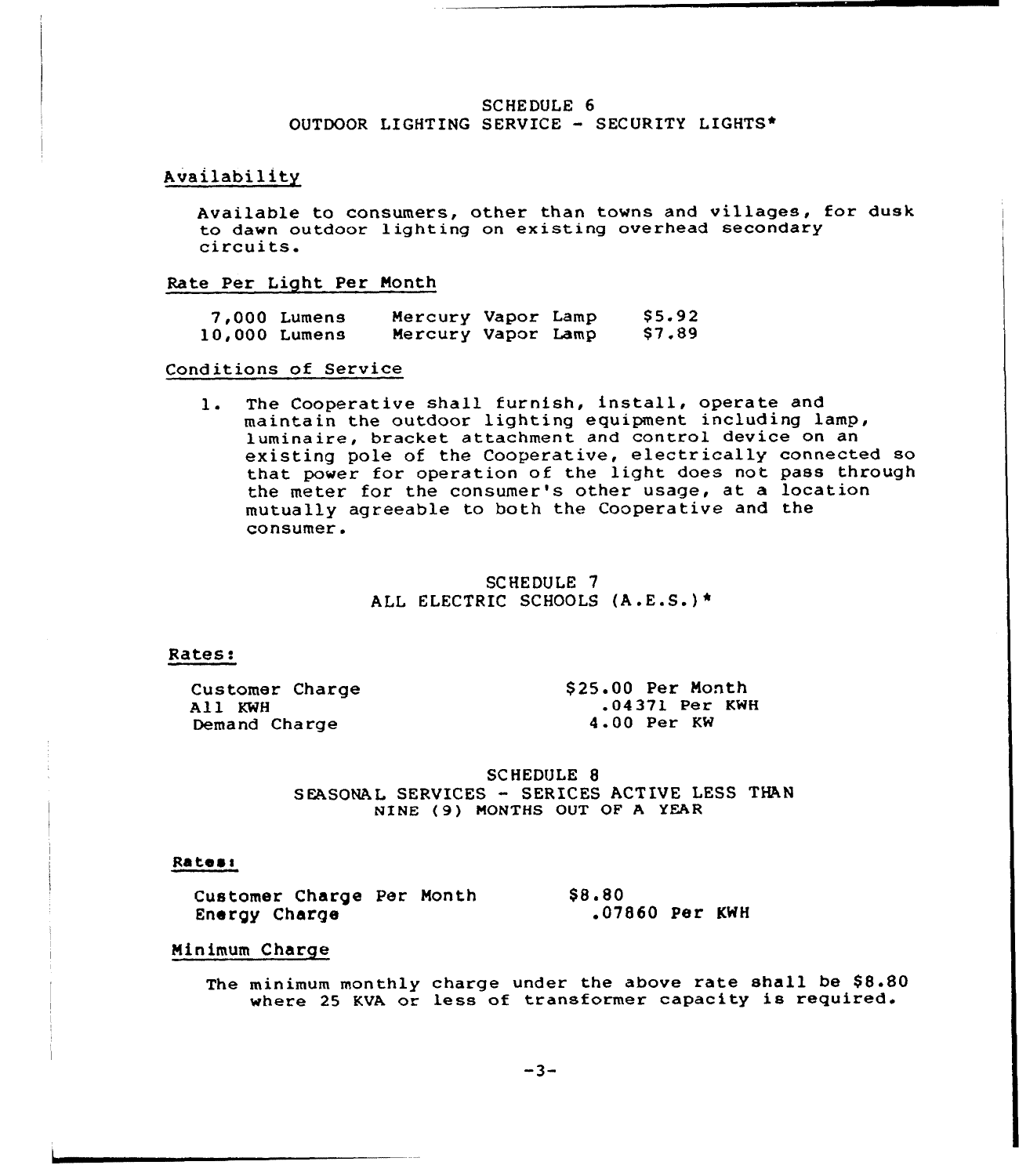### SCHEDULE 6 OUTDOOR LIGHTING SERVICE - SECURITY LIGHTS\*

## Availability

Available to consumers, other than towns and villages, for dusk to dawn outdoor lighting on existing overhead secondary circuits.

#### Rate Per Light. Per Month

| 10,000 Lumens | 7,000 Lumens | Mercury Vapor Lamp<br>Mercury Vapor Lamp |  | \$5.92<br>\$7,89 |
|---------------|--------------|------------------------------------------|--|------------------|
|               |              |                                          |  |                  |

#### Conditions of Service

1. The Cooperative shall furnish, install, operate and maintain the outdoor lighting equipment including lamp, luminaire, bracket attachment and control device on an existing pole of the Cooperative, electrically connected so that power for operation of the light does not pass through the meter for the consumer's other usage, at a location mutually agreeable to both the Cooperative and the consumer.

> SCHEDULE 7 ALL ELECTRIC SCHOOLS (A.E.S.) \*

#### Rates:

Cus tomer Charge All KWH Demand Charge

\$ 25.00 Per Month .04371 Per KWH 4.00 Per KW

SCHEDULE 8 SEASONAL SERVICES - SERICES ACTIVE LESS THAN NINE (9) MONTHS OUT OF <sup>A</sup> YEAR

#### Rates:

Customer Charge Per Month \$8.80 Energy Charge .07860 Per KWH

## Minimum Charge

The minimum monthly charge under the above rate shall be \$8.80 where <sup>25</sup> KVA or less of transformer capacity is required.